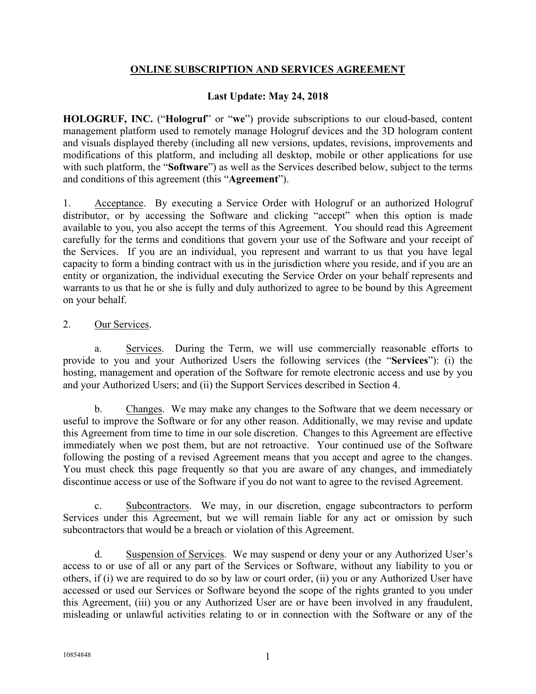# **ONLINE SUBSCRIPTION AND SERVICES AGREEMENT**

# **Last Update: May 24, 2018**

**HOLOGRUF, INC.** ("**Hologruf**" or "**we**") provide subscriptions to our cloud-based, content management platform used to remotely manage Hologruf devices and the 3D hologram content and visuals displayed thereby (including all new versions, updates, revisions, improvements and modifications of this platform, and including all desktop, mobile or other applications for use with such platform, the "**Software**") as well as the Services described below, subject to the terms and conditions of this agreement (this "**Agreement**").

1. Acceptance. By executing a Service Order with Hologruf or an authorized Hologruf distributor, or by accessing the Software and clicking "accept" when this option is made available to you, you also accept the terms of this Agreement. You should read this Agreement carefully for the terms and conditions that govern your use of the Software and your receipt of the Services. If you are an individual, you represent and warrant to us that you have legal capacity to form a binding contract with us in the jurisdiction where you reside, and if you are an entity or organization, the individual executing the Service Order on your behalf represents and warrants to us that he or she is fully and duly authorized to agree to be bound by this Agreement on your behalf.

#### 2. Our Services.

a. Services. During the Term, we will use commercially reasonable efforts to provide to you and your Authorized Users the following services (the "**Services**"): (i) the hosting, management and operation of the Software for remote electronic access and use by you and your Authorized Users; and (ii) the Support Services described in Section 4.

b. Changes. We may make any changes to the Software that we deem necessary or useful to improve the Software or for any other reason. Additionally, we may revise and update this Agreement from time to time in our sole discretion. Changes to this Agreement are effective immediately when we post them, but are not retroactive. Your continued use of the Software following the posting of a revised Agreement means that you accept and agree to the changes. You must check this page frequently so that you are aware of any changes, and immediately discontinue access or use of the Software if you do not want to agree to the revised Agreement.

c. Subcontractors. We may, in our discretion, engage subcontractors to perform Services under this Agreement, but we will remain liable for any act or omission by such subcontractors that would be a breach or violation of this Agreement.

d. Suspension of Services. We may suspend or deny your or any Authorized User's access to or use of all or any part of the Services or Software, without any liability to you or others, if (i) we are required to do so by law or court order, (ii) you or any Authorized User have accessed or used our Services or Software beyond the scope of the rights granted to you under this Agreement, (iii) you or any Authorized User are or have been involved in any fraudulent, misleading or unlawful activities relating to or in connection with the Software or any of the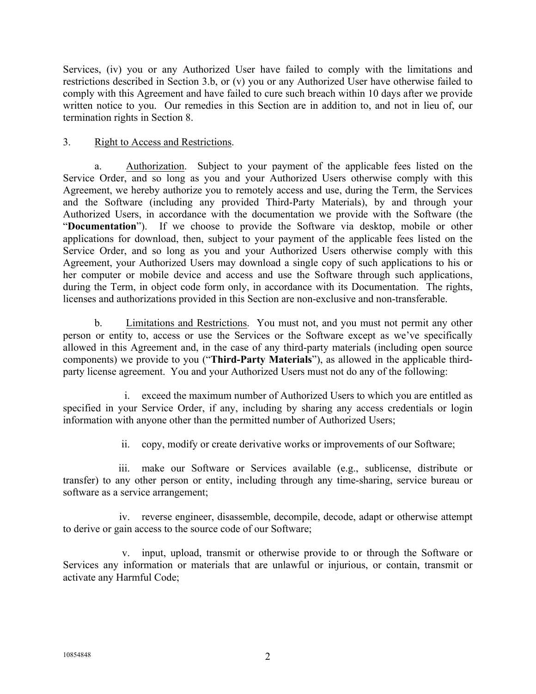Services, (iv) you or any Authorized User have failed to comply with the limitations and restrictions described in Section 3.b, or (v) you or any Authorized User have otherwise failed to comply with this Agreement and have failed to cure such breach within 10 days after we provide written notice to you. Our remedies in this Section are in addition to, and not in lieu of, our termination rights in Section 8.

#### 3. Right to Access and Restrictions.

a. Authorization. Subject to your payment of the applicable fees listed on the Service Order, and so long as you and your Authorized Users otherwise comply with this Agreement, we hereby authorize you to remotely access and use, during the Term, the Services and the Software (including any provided Third-Party Materials), by and through your Authorized Users, in accordance with the documentation we provide with the Software (the "**Documentation**"). If we choose to provide the Software via desktop, mobile or other applications for download, then, subject to your payment of the applicable fees listed on the Service Order, and so long as you and your Authorized Users otherwise comply with this Agreement, your Authorized Users may download a single copy of such applications to his or her computer or mobile device and access and use the Software through such applications, during the Term, in object code form only, in accordance with its Documentation. The rights, licenses and authorizations provided in this Section are non-exclusive and non-transferable.

b. Limitations and Restrictions. You must not, and you must not permit any other person or entity to, access or use the Services or the Software except as we've specifically allowed in this Agreement and, in the case of any third-party materials (including open source components) we provide to you ("**Third-Party Materials**"), as allowed in the applicable thirdparty license agreement. You and your Authorized Users must not do any of the following:

i. exceed the maximum number of Authorized Users to which you are entitled as specified in your Service Order, if any, including by sharing any access credentials or login information with anyone other than the permitted number of Authorized Users;

ii. copy, modify or create derivative works or improvements of our Software;

iii. make our Software or Services available (e.g., sublicense, distribute or transfer) to any other person or entity, including through any time-sharing, service bureau or software as a service arrangement;

iv. reverse engineer, disassemble, decompile, decode, adapt or otherwise attempt to derive or gain access to the source code of our Software;

v. input, upload, transmit or otherwise provide to or through the Software or Services any information or materials that are unlawful or injurious, or contain, transmit or activate any Harmful Code;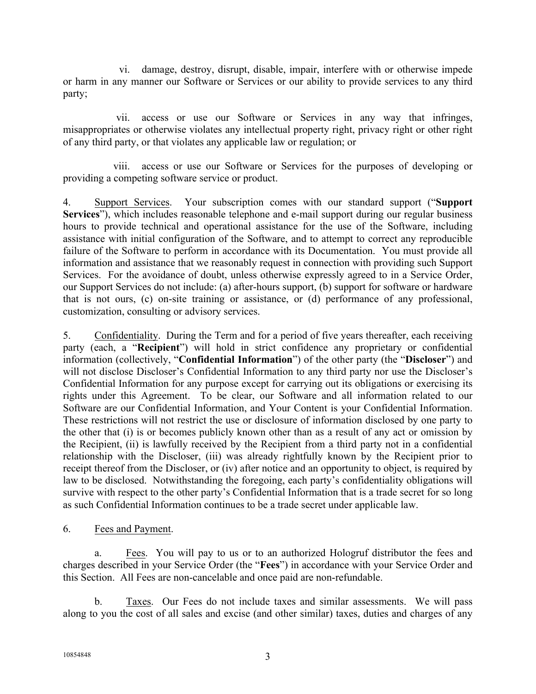vi. damage, destroy, disrupt, disable, impair, interfere with or otherwise impede or harm in any manner our Software or Services or our ability to provide services to any third party;

vii. access or use our Software or Services in any way that infringes, misappropriates or otherwise violates any intellectual property right, privacy right or other right of any third party, or that violates any applicable law or regulation; or

viii. access or use our Software or Services for the purposes of developing or providing a competing software service or product.

4. Support Services. Your subscription comes with our standard support ("**Support Services**"), which includes reasonable telephone and e-mail support during our regular business hours to provide technical and operational assistance for the use of the Software, including assistance with initial configuration of the Software, and to attempt to correct any reproducible failure of the Software to perform in accordance with its Documentation. You must provide all information and assistance that we reasonably request in connection with providing such Support Services. For the avoidance of doubt, unless otherwise expressly agreed to in a Service Order, our Support Services do not include: (a) after-hours support, (b) support for software or hardware that is not ours, (c) on-site training or assistance, or (d) performance of any professional, customization, consulting or advisory services.

5. Confidentiality. During the Term and for a period of five years thereafter, each receiving party (each, a "**Recipient**") will hold in strict confidence any proprietary or confidential information (collectively, "**Confidential Information**") of the other party (the "**Discloser**") and will not disclose Discloser's Confidential Information to any third party nor use the Discloser's Confidential Information for any purpose except for carrying out its obligations or exercising its rights under this Agreement. To be clear, our Software and all information related to our Software are our Confidential Information, and Your Content is your Confidential Information. These restrictions will not restrict the use or disclosure of information disclosed by one party to the other that (i) is or becomes publicly known other than as a result of any act or omission by the Recipient, (ii) is lawfully received by the Recipient from a third party not in a confidential relationship with the Discloser, (iii) was already rightfully known by the Recipient prior to receipt thereof from the Discloser, or (iv) after notice and an opportunity to object, is required by law to be disclosed. Notwithstanding the foregoing, each party's confidentiality obligations will survive with respect to the other party's Confidential Information that is a trade secret for so long as such Confidential Information continues to be a trade secret under applicable law.

6. Fees and Payment.

a. Fees. You will pay to us or to an authorized Hologruf distributor the fees and charges described in your Service Order (the "**Fees**") in accordance with your Service Order and this Section. All Fees are non-cancelable and once paid are non-refundable.

b. Taxes. Our Fees do not include taxes and similar assessments. We will pass along to you the cost of all sales and excise (and other similar) taxes, duties and charges of any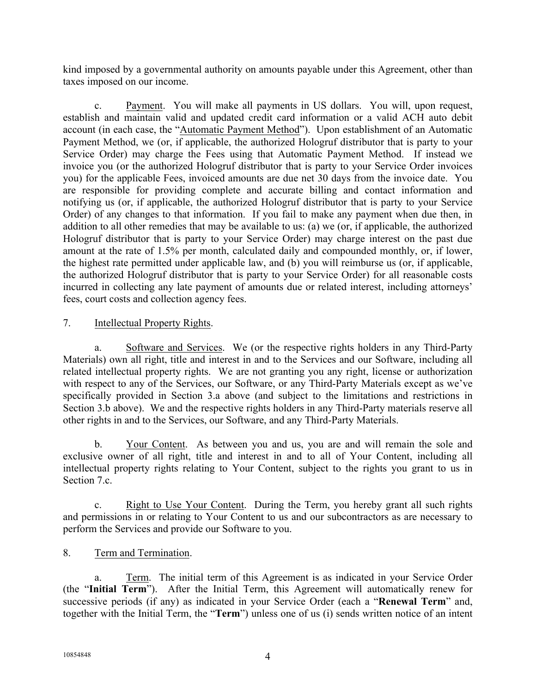kind imposed by a governmental authority on amounts payable under this Agreement, other than taxes imposed on our income.

c. Payment. You will make all payments in US dollars. You will, upon request, establish and maintain valid and updated credit card information or a valid ACH auto debit account (in each case, the "Automatic Payment Method"). Upon establishment of an Automatic Payment Method, we (or, if applicable, the authorized Hologruf distributor that is party to your Service Order) may charge the Fees using that Automatic Payment Method. If instead we invoice you (or the authorized Hologruf distributor that is party to your Service Order invoices you) for the applicable Fees, invoiced amounts are due net 30 days from the invoice date. You are responsible for providing complete and accurate billing and contact information and notifying us (or, if applicable, the authorized Hologruf distributor that is party to your Service Order) of any changes to that information. If you fail to make any payment when due then, in addition to all other remedies that may be available to us: (a) we (or, if applicable, the authorized Hologruf distributor that is party to your Service Order) may charge interest on the past due amount at the rate of 1.5% per month, calculated daily and compounded monthly, or, if lower, the highest rate permitted under applicable law, and (b) you will reimburse us (or, if applicable, the authorized Hologruf distributor that is party to your Service Order) for all reasonable costs incurred in collecting any late payment of amounts due or related interest, including attorneys' fees, court costs and collection agency fees.

## 7. Intellectual Property Rights.

a. Software and Services. We (or the respective rights holders in any Third-Party Materials) own all right, title and interest in and to the Services and our Software, including all related intellectual property rights. We are not granting you any right, license or authorization with respect to any of the Services, our Software, or any Third-Party Materials except as we've specifically provided in Section 3.a above (and subject to the limitations and restrictions in Section 3.b above). We and the respective rights holders in any Third-Party materials reserve all other rights in and to the Services, our Software, and any Third-Party Materials.

b. Your Content. As between you and us, you are and will remain the sole and exclusive owner of all right, title and interest in and to all of Your Content, including all intellectual property rights relating to Your Content, subject to the rights you grant to us in Section 7.c.

c. Right to Use Your Content. During the Term, you hereby grant all such rights and permissions in or relating to Your Content to us and our subcontractors as are necessary to perform the Services and provide our Software to you.

## 8. Term and Termination.

a. Term. The initial term of this Agreement is as indicated in your Service Order (the "**Initial Term**"). After the Initial Term, this Agreement will automatically renew for successive periods (if any) as indicated in your Service Order (each a "**Renewal Term**" and, together with the Initial Term, the "**Term**") unless one of us (i) sends written notice of an intent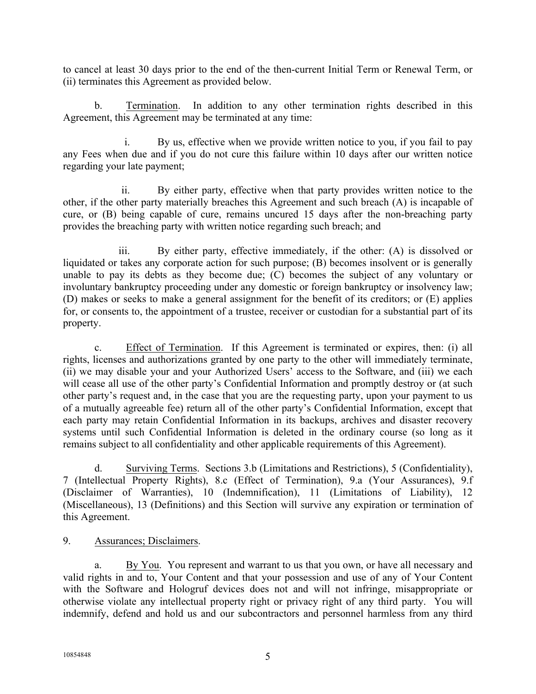to cancel at least 30 days prior to the end of the then-current Initial Term or Renewal Term, or (ii) terminates this Agreement as provided below.

b. Termination. In addition to any other termination rights described in this Agreement, this Agreement may be terminated at any time:

i. By us, effective when we provide written notice to you, if you fail to pay any Fees when due and if you do not cure this failure within 10 days after our written notice regarding your late payment;

ii. By either party, effective when that party provides written notice to the other, if the other party materially breaches this Agreement and such breach (A) is incapable of cure, or (B) being capable of cure, remains uncured 15 days after the non-breaching party provides the breaching party with written notice regarding such breach; and

iii. By either party, effective immediately, if the other: (A) is dissolved or liquidated or takes any corporate action for such purpose; (B) becomes insolvent or is generally unable to pay its debts as they become due; (C) becomes the subject of any voluntary or involuntary bankruptcy proceeding under any domestic or foreign bankruptcy or insolvency law; (D) makes or seeks to make a general assignment for the benefit of its creditors; or (E) applies for, or consents to, the appointment of a trustee, receiver or custodian for a substantial part of its property.

c. Effect of Termination. If this Agreement is terminated or expires, then: (i) all rights, licenses and authorizations granted by one party to the other will immediately terminate, (ii) we may disable your and your Authorized Users' access to the Software, and (iii) we each will cease all use of the other party's Confidential Information and promptly destroy or (at such other party's request and, in the case that you are the requesting party, upon your payment to us of a mutually agreeable fee) return all of the other party's Confidential Information, except that each party may retain Confidential Information in its backups, archives and disaster recovery systems until such Confidential Information is deleted in the ordinary course (so long as it remains subject to all confidentiality and other applicable requirements of this Agreement).

d. Surviving Terms. Sections 3.b (Limitations and Restrictions), 5 (Confidentiality), 7 (Intellectual Property Rights), 8.c (Effect of Termination), 9.a (Your Assurances), 9.f (Disclaimer of Warranties), 10 (Indemnification), 11 (Limitations of Liability), 12 (Miscellaneous), 13 (Definitions) and this Section will survive any expiration or termination of this Agreement.

## 9. Assurances; Disclaimers.

a. By You. You represent and warrant to us that you own, or have all necessary and valid rights in and to, Your Content and that your possession and use of any of Your Content with the Software and Hologruf devices does not and will not infringe, misappropriate or otherwise violate any intellectual property right or privacy right of any third party. You will indemnify, defend and hold us and our subcontractors and personnel harmless from any third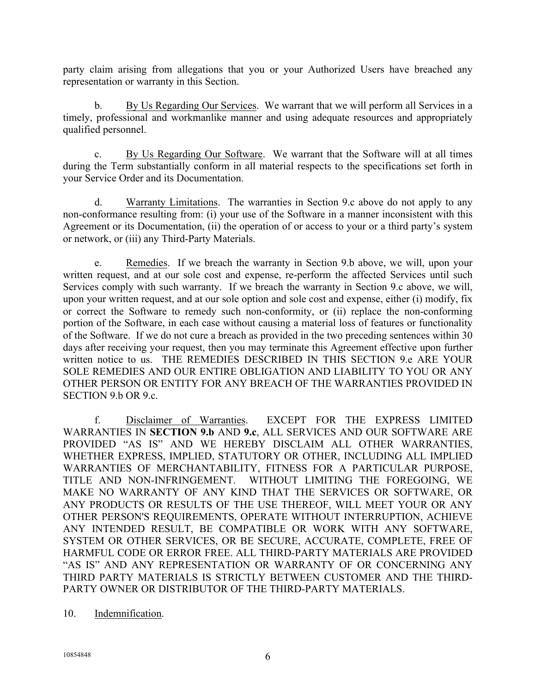party claim arising from allegations that you or your Authorized Users have breached any representation or warranty in this Section.

b. By Us Regarding Our Services. We warrant that we will perform all Services in a timely, professional and workmanlike manner and using adequate resources and appropriately qualified personnel.

c. By Us Regarding Our Software. We warrant that the Software will at all times during the Term substantially conform in all material respects to the specifications set forth in your Service Order and its Documentation.

d. Warranty Limitations. The warranties in Section 9.c above do not apply to any non-conformance resulting from: (i) your use of the Software in a manner inconsistent with this Agreement or its Documentation, (ii) the operation of or access to your or a third party's system or network, or (iii) any Third-Party Materials.

e. Remedies. If we breach the warranty in Section 9.b above, we will, upon your written request, and at our sole cost and expense, re-perform the affected Services until such Services comply with such warranty. If we breach the warranty in Section 9.c above, we will, upon your written request, and at our sole option and sole cost and expense, either (i) modify, fix or correct the Software to remedy such non-conformity, or (ii) replace the non-conforming portion of the Software, in each case without causing a material loss of features or functionality of the Software. If we do not cure a breach as provided in the two preceding sentences within 30 days after receiving your request, then you may terminate this Agreement effective upon further written notice to us. THE REMEDIES DESCRIBED IN THIS SECTION 9.e ARE YOUR SOLE REMEDIES AND OUR ENTIRE OBLIGATION AND LIABILITY TO YOU OR ANY OTHER PERSON OR ENTITY FOR ANY BREACH OF THE WARRANTIES PROVIDED IN SECTION 9.b OR 9.c.

f. Disclaimer of Warranties. EXCEPT FOR THE EXPRESS LIMITED WARRANTIES IN **SECTION 9.b** AND **9.c**, ALL SERVICES AND OUR SOFTWARE ARE PROVIDED "AS IS" AND WE HEREBY DISCLAIM ALL OTHER WARRANTIES, WHETHER EXPRESS, IMPLIED, STATUTORY OR OTHER, INCLUDING ALL IMPLIED WARRANTIES OF MERCHANTABILITY, FITNESS FOR A PARTICULAR PURPOSE, TITLE AND NON-INFRINGEMENT. WITHOUT LIMITING THE FOREGOING, WE MAKE NO WARRANTY OF ANY KIND THAT THE SERVICES OR SOFTWARE, OR ANY PRODUCTS OR RESULTS OF THE USE THEREOF, WILL MEET YOUR OR ANY OTHER PERSON'S REQUIREMENTS, OPERATE WITHOUT INTERRUPTION, ACHIEVE ANY INTENDED RESULT, BE COMPATIBLE OR WORK WITH ANY SOFTWARE, SYSTEM OR OTHER SERVICES, OR BE SECURE, ACCURATE, COMPLETE, FREE OF HARMFUL CODE OR ERROR FREE. ALL THIRD-PARTY MATERIALS ARE PROVIDED "AS IS" AND ANY REPRESENTATION OR WARRANTY OF OR CONCERNING ANY THIRD PARTY MATERIALS IS STRICTLY BETWEEN CUSTOMER AND THE THIRD-PARTY OWNER OR DISTRIBUTOR OF THE THIRD-PARTY MATERIALS.

#### 10. Indemnification.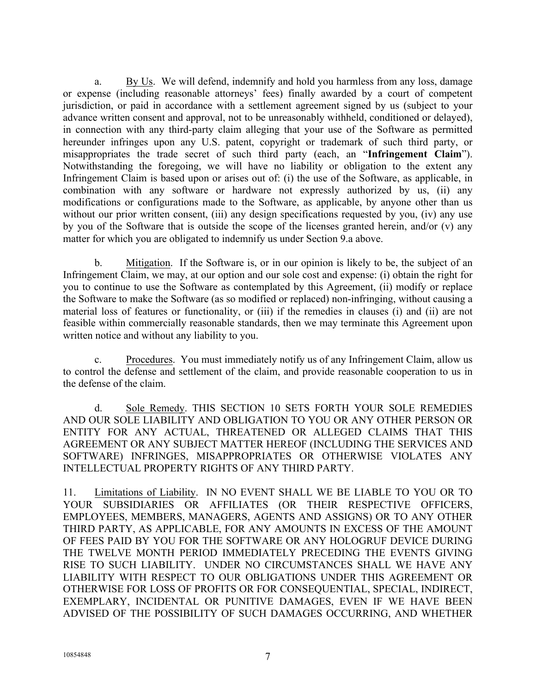a. By Us. We will defend, indemnify and hold you harmless from any loss, damage or expense (including reasonable attorneys' fees) finally awarded by a court of competent jurisdiction, or paid in accordance with a settlement agreement signed by us (subject to your advance written consent and approval, not to be unreasonably withheld, conditioned or delayed), in connection with any third-party claim alleging that your use of the Software as permitted hereunder infringes upon any U.S. patent, copyright or trademark of such third party, or misappropriates the trade secret of such third party (each, an "**Infringement Claim**"). Notwithstanding the foregoing, we will have no liability or obligation to the extent any Infringement Claim is based upon or arises out of: (i) the use of the Software, as applicable, in combination with any software or hardware not expressly authorized by us, (ii) any modifications or configurations made to the Software, as applicable, by anyone other than us without our prior written consent, (iii) any design specifications requested by you, (iv) any use by you of the Software that is outside the scope of the licenses granted herein, and/or (v) any matter for which you are obligated to indemnify us under Section 9.a above.

b. Mitigation. If the Software is, or in our opinion is likely to be, the subject of an Infringement Claim, we may, at our option and our sole cost and expense: (i) obtain the right for you to continue to use the Software as contemplated by this Agreement, (ii) modify or replace the Software to make the Software (as so modified or replaced) non-infringing, without causing a material loss of features or functionality, or (iii) if the remedies in clauses (i) and (ii) are not feasible within commercially reasonable standards, then we may terminate this Agreement upon written notice and without any liability to you.

c. Procedures. You must immediately notify us of any Infringement Claim, allow us to control the defense and settlement of the claim, and provide reasonable cooperation to us in the defense of the claim.

d. Sole Remedy. THIS SECTION 10 SETS FORTH YOUR SOLE REMEDIES AND OUR SOLE LIABILITY AND OBLIGATION TO YOU OR ANY OTHER PERSON OR ENTITY FOR ANY ACTUAL, THREATENED OR ALLEGED CLAIMS THAT THIS AGREEMENT OR ANY SUBJECT MATTER HEREOF (INCLUDING THE SERVICES AND SOFTWARE) INFRINGES, MISAPPROPRIATES OR OTHERWISE VIOLATES ANY INTELLECTUAL PROPERTY RIGHTS OF ANY THIRD PARTY.

11. Limitations of Liability. IN NO EVENT SHALL WE BE LIABLE TO YOU OR TO YOUR SUBSIDIARIES OR AFFILIATES (OR THEIR RESPECTIVE OFFICERS, EMPLOYEES, MEMBERS, MANAGERS, AGENTS AND ASSIGNS) OR TO ANY OTHER THIRD PARTY, AS APPLICABLE, FOR ANY AMOUNTS IN EXCESS OF THE AMOUNT OF FEES PAID BY YOU FOR THE SOFTWARE OR ANY HOLOGRUF DEVICE DURING THE TWELVE MONTH PERIOD IMMEDIATELY PRECEDING THE EVENTS GIVING RISE TO SUCH LIABILITY. UNDER NO CIRCUMSTANCES SHALL WE HAVE ANY LIABILITY WITH RESPECT TO OUR OBLIGATIONS UNDER THIS AGREEMENT OR OTHERWISE FOR LOSS OF PROFITS OR FOR CONSEQUENTIAL, SPECIAL, INDIRECT, EXEMPLARY, INCIDENTAL OR PUNITIVE DAMAGES, EVEN IF WE HAVE BEEN ADVISED OF THE POSSIBILITY OF SUCH DAMAGES OCCURRING, AND WHETHER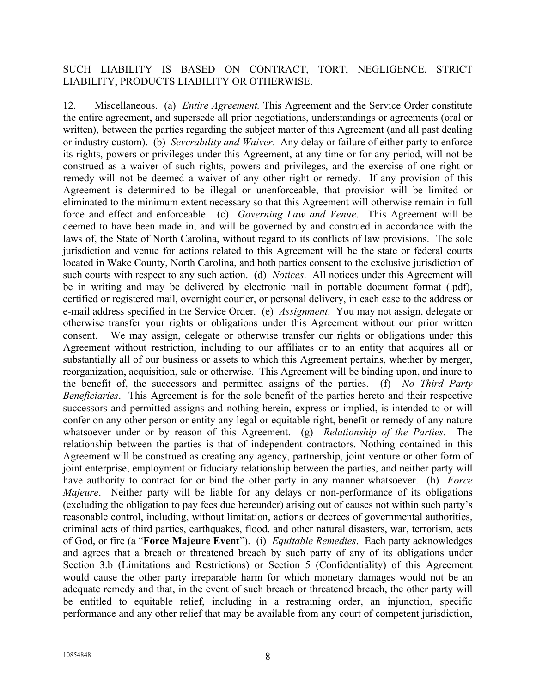# SUCH LIABILITY IS BASED ON CONTRACT, TORT, NEGLIGENCE, STRICT LIABILITY, PRODUCTS LIABILITY OR OTHERWISE.

12. Miscellaneous. (a) *Entire Agreement.* This Agreement and the Service Order constitute the entire agreement, and supersede all prior negotiations, understandings or agreements (oral or written), between the parties regarding the subject matter of this Agreement (and all past dealing or industry custom). (b) *Severability and Waiver*. Any delay or failure of either party to enforce its rights, powers or privileges under this Agreement, at any time or for any period, will not be construed as a waiver of such rights, powers and privileges, and the exercise of one right or remedy will not be deemed a waiver of any other right or remedy. If any provision of this Agreement is determined to be illegal or unenforceable, that provision will be limited or eliminated to the minimum extent necessary so that this Agreement will otherwise remain in full force and effect and enforceable. (c) *Governing Law and Venue*. This Agreement will be deemed to have been made in, and will be governed by and construed in accordance with the laws of, the State of North Carolina, without regard to its conflicts of law provisions. The sole jurisdiction and venue for actions related to this Agreement will be the state or federal courts located in Wake County, North Carolina, and both parties consent to the exclusive jurisdiction of such courts with respect to any such action. (d) *Notices*. All notices under this Agreement will be in writing and may be delivered by electronic mail in portable document format (.pdf), certified or registered mail, overnight courier, or personal delivery, in each case to the address or e-mail address specified in the Service Order. (e) *Assignment*. You may not assign, delegate or otherwise transfer your rights or obligations under this Agreement without our prior written consent. We may assign, delegate or otherwise transfer our rights or obligations under this Agreement without restriction, including to our affiliates or to an entity that acquires all or substantially all of our business or assets to which this Agreement pertains, whether by merger, reorganization, acquisition, sale or otherwise. This Agreement will be binding upon, and inure to the benefit of, the successors and permitted assigns of the parties. (f) *No Third Party Beneficiaries*. This Agreement is for the sole benefit of the parties hereto and their respective successors and permitted assigns and nothing herein, express or implied, is intended to or will confer on any other person or entity any legal or equitable right, benefit or remedy of any nature whatsoever under or by reason of this Agreement. (g) *Relationship of the Parties*. The relationship between the parties is that of independent contractors. Nothing contained in this Agreement will be construed as creating any agency, partnership, joint venture or other form of joint enterprise, employment or fiduciary relationship between the parties, and neither party will have authority to contract for or bind the other party in any manner whatsoever. (h) *Force Majeure*. Neither party will be liable for any delays or non-performance of its obligations (excluding the obligation to pay fees due hereunder) arising out of causes not within such party's reasonable control, including, without limitation, actions or decrees of governmental authorities, criminal acts of third parties, earthquakes, flood, and other natural disasters, war, terrorism, acts of God, or fire (a "**Force Majeure Event**"). (i) *Equitable Remedies*. Each party acknowledges and agrees that a breach or threatened breach by such party of any of its obligations under Section 3.b (Limitations and Restrictions) or Section 5 (Confidentiality) of this Agreement would cause the other party irreparable harm for which monetary damages would not be an adequate remedy and that, in the event of such breach or threatened breach, the other party will be entitled to equitable relief, including in a restraining order, an injunction, specific performance and any other relief that may be available from any court of competent jurisdiction,